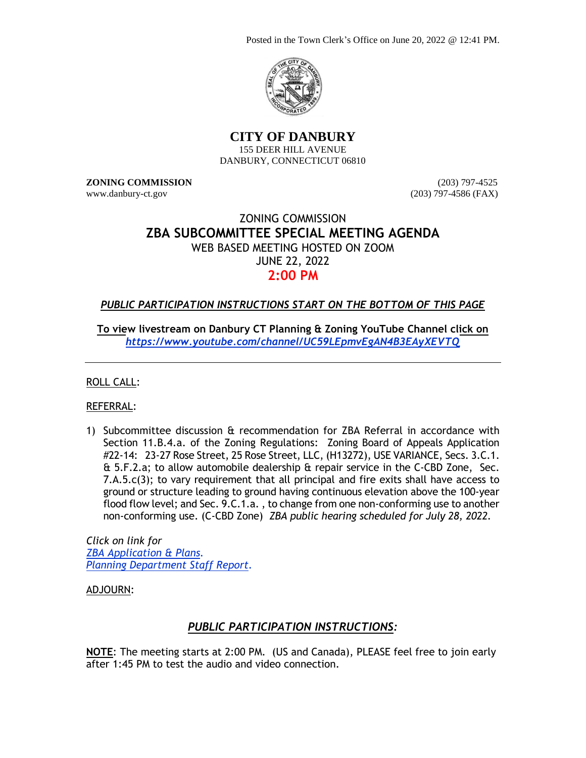Posted in the Town Clerk's Office on June 20, 2022 @ 12:41 PM.



**CITY OF DANBURY** 155 DEER HILL AVENUE DANBURY, CONNECTICUT 06810

**ZONING COMMISSION** (203) 797-4525 www.danbury-ct.gov (203) 797-4586 (FAX)

## ZONING COMMISSION **ZBA SUBCOMMITTEE SPECIAL MEETING AGENDA** WEB BASED MEETING HOSTED ON ZOOM JUNE 22, 2022 **2:00 PM**

## *PUBLIC PARTICIPATION INSTRUCTIONS START ON THE BOTTOM OF THIS PAGE*

**To view livestream on Danbury CT Planning & Zoning YouTube Channel click on** *<https://www.youtube.com/channel/UC59LEpmvEgAN4B3EAyXEVTQ>*

ROLL CALL:

REFERRAL:

1) Subcommittee discussion & recommendation for ZBA Referral in accordance with Section 11.B.4.a. of the Zoning Regulations: Zoning Board of Appeals Application #22-14: 23-27 Rose Street, 25 Rose Street, LLC, (H13272), USE VARIANCE, Secs. 3.C.1. & 5.F.2.a; to allow automobile dealership & repair service in the C-CBD Zone, Sec. 7.A.5.c(3); to vary requirement that all principal and fire exits shall have access to ground or structure leading to ground having continuous elevation above the 100-year flood flow level; and Sec. 9.C.1.a. , to change from one non-conforming use to another non-conforming use. (C-CBD Zone) *ZBA public hearing scheduled for July 28, 2022.*

*Click on link for [ZBA Application & Plans.](https://www.danbury-ct.gov/wp-content/uploads/2022/06/23-27-Rose-St.ZBA-22-14-application-Plans.pdf) [Planning Department Staff Report.](https://www.danbury-ct.gov/wp-content/uploads/2022/06/23-27-Rose-St-aka-25-Rose-St-LLC.pdf)*

ADJOURN:

## *PUBLIC PARTICIPATION INSTRUCTIONS:*

**NOTE**: The meeting starts at 2:00 PM. (US and Canada), PLEASE feel free to join early after 1:45 PM to test the audio and video connection.